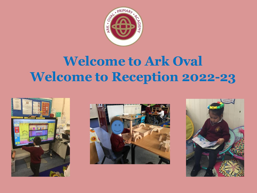

#### **Welcome to Ark Oval Welcome to Reception 2022-23**





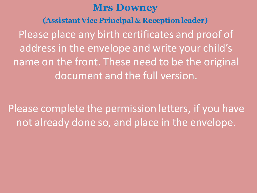#### **Mrs Downey**

**(Assistant Vice Principal & Reception leader)**

Please place any birth certificates and proof of address in the envelope and write your child's name on the front. These need to be the original document and the full version.

Please complete the permission letters, if you have not already done so, and place in the envelope.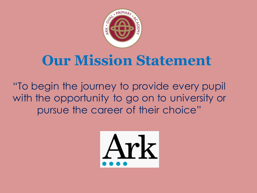

#### **Our Mission Statement**

"To begin the journey to provide every pupil with the opportunity to go on to university or pursue the career of their choice"

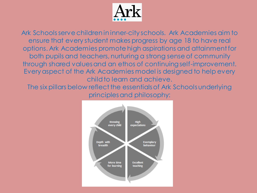

Ark Schools serve children in inner-city schools. Ark Academies aim to ensure that every student makes progress by age 18 to have real options. Ark Academies promote high aspirations and attainment for both pupils and teachers, nurturing a strong sense of community through shared values and an ethos of continuing self-improvement. Every aspect of the Ark Academies model is designed to help every child to learn and achieve.

The six pillars below reflect the essentials of Ark Schools underlying principles and philosophy:

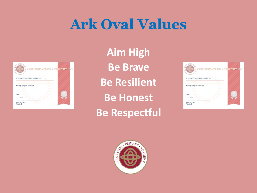### **Ark Oval Values**



**Aim High Be Brave Be Resilient Be Honest Be Respectful**



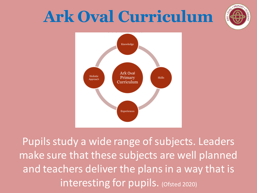# **Ark Oval Curriculum**





Pupils study a wide range of subjects. Leaders make sure that these subjects are well planned and teachers deliver the plans in a way that is interesting for pupils. (Ofsted 2020)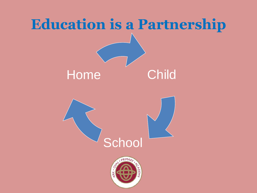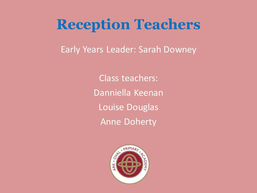#### **Reception Teachers**

Early Years Leader: Sarah Downey

Class teachers: Danniella Keenan Louise Douglas Anne Doherty

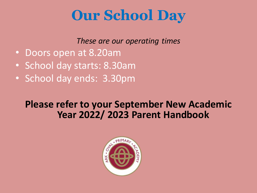### **Our School Day**

*These are our operating times*

- Doors open at 8.20am
- School day starts: 8.30am
- School day ends: 3.30pm

#### **Please refer to your September New Academic Year 2022/ 2023 Parent Handbook**

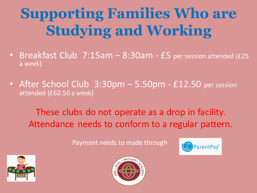# **Supporting Families Who are Studying and Working**

- Breakfast Club 7:15am 8:30am £5 per session attended (£25 a week)
- After School Club 3:30pm 5.50pm £12.50 per session attended (£62.50 a week)

These clubs do not operate as a drop in facility. Attendance needs to conform to a regular pattern.

Payment needs to made through





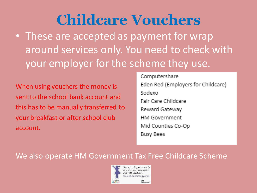## **Childcare Vouchers**

• These are accepted as payment for wrap around services only. You need to check with your employer for the scheme they use.

When using vouchers the money is sent to the school bank account and this has to be manually transferred to your breakfast or after school club account.

Computershare Eden Red (Employers for Childcare) Sodexo. Fair Care Childcare Reward Gateway **HM Government** Mid Counties Co-Op **Busy Bees** 

#### We also operate HM Government Tax Free Childcare Scheme

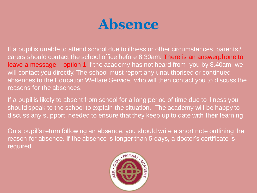

If a pupil is unable to attend school due to illness or other circumstances, parents / carers should contact the school office before 8.30am. There is an answerphone to leave a message – option 1 If the academy has not heard from you by 8.40am, we will contact you directly. The school must report any unauthorised or continued absences to the Education Welfare Service, who will then contact you to discuss the reasons for the absences.

If a pupil is likely to absent from school for a long period of time due to illness you should speak to the school to explain the situation. The academy will be happy to discuss any support needed to ensure that they keep up to date with their learning.

On a pupil's return following an absence, you should write a short note outlining the reason for absence. If the absence is longer than 5 days, a doctor's certificate is required

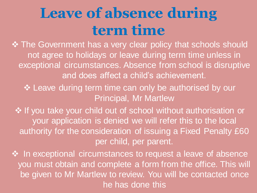## **Leave of absence during term time**

❖ The Government has a very clear policy that schools should not agree to holidays or leave during term time unless in exceptional circumstances. Absence from school is disruptive and does affect a child's achievement.

❖ Leave during term time can only be authorised by our Principal, Mr Martlew

❖ If you take your child out of school without authorisation or your application is denied we will refer this to the local authority for the consideration of issuing a Fixed Penalty £60 per child, per parent.

❖ In exceptional circumstances to request a leave of absence you must obtain and complete a form from the office. This will be given to Mr Martlew to review. You will be contacted once he has done this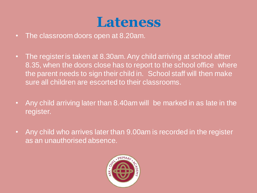#### **Lateness**

- The classroom doors open at 8.20am.
- The register is taken at 8.30am. Any child arriving at school aftter 8.35, when the doors close has to report to the school office where the parent needs to sign their child in. School staff will then make sure all children are escorted to their classrooms.
- Any child arriving later than 8.40am will be marked in as late in the register.
- Any child who arrives later than 9.00am is recorded in the register as an unauthorised absence.

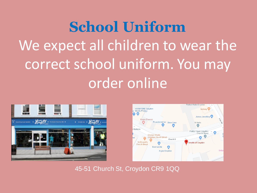# **School Uniform** We expect all children to wear the correct school uniform. You may order online





45-51 Church St, Croydon CR9 1QQ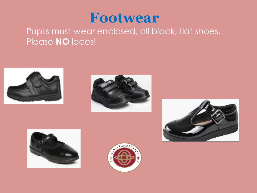

#### Pupils must wear enclosed, all black, flat shoes. Please **NO** laces!









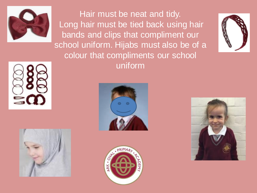

Hair must be neat and tidy. Long hair must be tied back using hair bands and clips that compliment our school uniform. Hijabs must also be of a colour that compliments our school uniform











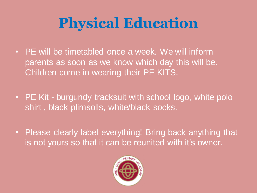# **Physical Education**

- PE will be timetabled once a week. We will inform parents as soon as we know which day this will be. Children come in wearing their PE KITS.
- PE Kit burgundy tracksuit with school logo, white polo shirt , black plimsolls, white/black socks.
- Please clearly label everything! Bring back anything that is not yours so that it can be reunited with it's owner.

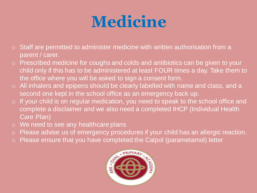# **Medicine**

- $\circ$  Staff are permitted to administer medicine with written authorisation from a parent / carer.
- o Prescribed medicine for coughs and colds and antibiotics can be given to your child only if this has to be administered at least FOUR times a day. Take them to the office where you will be asked to sign a consent form.
- o All inhalers and epipens should be clearly labelled with name and class, and a second one kept in the school office as an emergency back up.
- o If your child is on regular medication, you need to speak to the school office and complete a disclaimer and we also need a completed IHCP (Individual Health Care Plan)
- o We need to see any healthcare plans
- o Please advise us of emergency procedures if your child has an allergic reaction.
- o Please ensure that you have completed the Calpol (parametamol) letter

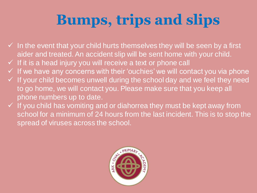# **Bumps, trips and slips**

- $\checkmark$  In the event that your child hurts themselves they will be seen by a first aider and treated. An accident slip will be sent home with your child.
- $\checkmark$  If it is a head injury you will receive a text or phone call
- ✓ If we have any concerns with their 'ouchies' we will contact you via phone
- $\checkmark$  If your child becomes unwell during the school day and we feel they need to go home, we will contact you. Please make sure that you keep all phone numbers up to date.
- $\checkmark$  If you child has vomiting and or diahorrea they must be kept away from school for a minimum of 24 hours from the last incident. This is to stop the spread of viruses across the school.

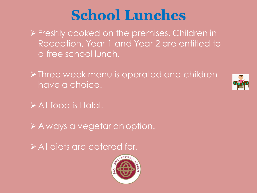## **School Lunches**

➢Freshly cooked on the premises. Children in Reception, Year 1 and Year 2 are entitled to a free school lunch.

➢Three week menu is operated and children have a choice.



➢All food is Halal.

➢Always a vegetarian option.

➢All diets are catered for.

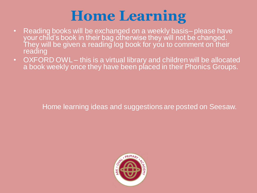## **Home Learning**

- Reading books will be exchanged on a weekly basis– please have your child's book in their bag otherwise they will not be changed. They will be given a reading log book for you to comment on their reading
- OXFORD OWL this is a virtual library and children will be allocated a book weekly once they have been placed in their Phonics Groups.

Home learning ideas and suggestions are posted on Seesaw.

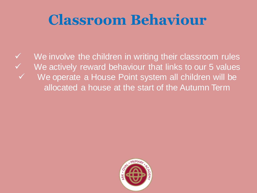## **Classroom Behaviour**

✓ We involve the children in writing their classroom rules ✓ We actively reward behaviour that links to our 5 values ✓ We operate a House Point system all children will be allocated a house at the start of the Autumn Term

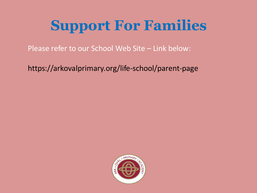# **Support For Families**

Please refer to our School Web Site – Link below:

https://arkovalprimary.org/life-school/parent-page

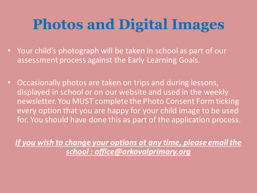# **Photos and Digital Images**

- Your child's photograph will be taken in school as part of our assessment process against the Early Learning Goals.
- Occasionally photos are taken on trips and during lessons, displayed in school or on our website and used in the weekly newsletter. You MUST complete the Photo Consent Form ticking every option that you are happy for your child image to be used for. You should have done this as part of the application process.

*If you wish to change your options at any time, please email the school : office@arkovalprimary.org*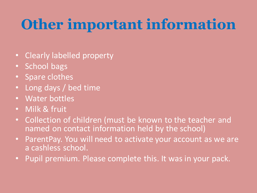# **Other important information**

- Clearly labelled property
- School bags
- Spare clothes
- Long days / bed time
- Water bottles
- Milk & fruit
- Collection of children (must be known to the teacher and named on contact information held by the school)
- ParentPay. You will need to activate your account as we are a cashless school.
- Pupil premium. Please complete this. It was in your pack.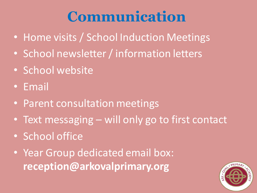## **Communication**

- Home visits / School Induction Meetings
- School newsletter / information letters
- School website
- Email
- Parent consultation meetings
- Text messaging will only go to first contact
- School office
- Year Group dedicated email box: **reception@arkovalprimary.org**

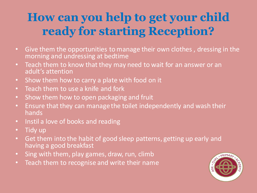#### **How can you help to get your child ready for starting Reception?**

- Give them the opportunities to manage their own clothes , dressing in the morning and undressing at bedtime
- Teach them to know that they may need to wait for an answer or an adult's attention
- Show them how to carry a plate with food on it
- Teach them to use a knife and fork
- Show them how to open packaging and fruit
- Ensure that they can manage the toilet independently and wash their hands
- Instil a love of books and reading
- Tidy up
- Get them into the habit of good sleep patterns, getting up early and having a good breakfast
- Sing with them, play games, draw, run, climb
- Teach them to recognise and write their name

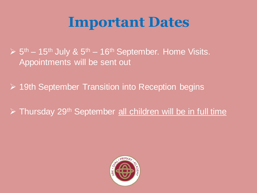### **Important Dates**

 $\triangleright$  5<sup>th</sup> – 15<sup>th</sup> July & 5<sup>th</sup> – 16<sup>th</sup> September. Home Visits. Appointments will be sent out

➢ 19th September Transition into Reception begins

➢ Thursday 29th September all children will be in full time